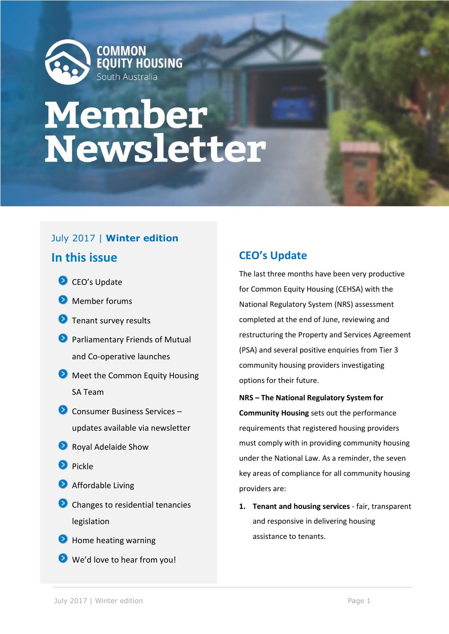

# **Member<br>Newsletter**

# July 2017 | **Winter edition**

# **In this issue**

CEO's Update

Member forums **D** Tenant survey results **Parliamentary Friends of Mutual** and Co-operative launches **Meet the Common Equity Housing** SA Team **◆** Consumer Business Services – updates available via newsletter **Royal Adelaide Show Pickle Affordable Living** Changes to residential tenancies legislation **D** Home heating warning We'd love to hear from you!

# **CEO's Update**

The last three months have been very productive for Common Equity Housing (CEHSA) with the National Regulatory System (NRS) assessment completed at the end of June, reviewing and restructuring the Property and Services Agreement (PSA) and several positive enquiries from Tier 3 community housing providers investigating options for their future.

- **NRS – The National Regulatory System for Community Housing** sets out the performance requirements that registered housing providers must comply with in providing community housing under the National Law. As a reminder, the seven key areas of compliance for all community housing providers are:
- **1. Tenant and housing services**  fair, transparent and responsive in delivering housing assistance to tenants.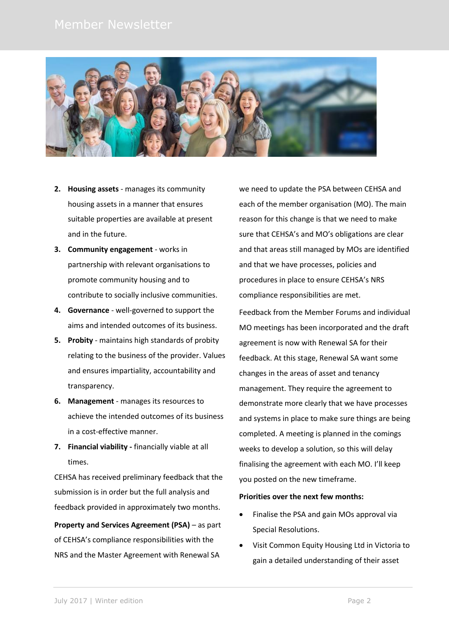

- **2. Housing assets** manages its community housing assets in a manner that ensures suitable properties are available at present and in the future.
- **3. Community engagement** works in partnership with relevant organisations to promote community housing and to contribute to socially inclusive communities.
- **4. Governance** well-governed to support the aims and intended outcomes of its business.
- **5. Probity** maintains high standards of probity relating to the business of the provider. Values and ensures impartiality, accountability and transparency.
- **6. Management** manages its resources to achieve the intended outcomes of its business in a cost-effective manner.
- **7. Financial viability -** financially viable at all times.

CEHSA has received preliminary feedback that the submission is in order but the full analysis and feedback provided in approximately two months.

**Property and Services Agreement (PSA)** – as part of CEHSA's compliance responsibilities with the NRS and the Master Agreement with Renewal SA

we need to update the PSA between CEHSA and each of the member organisation (MO). The main reason for this change is that we need to make sure that CEHSA's and MO's obligations are clear and that areas still managed by MOs are identified and that we have processes, policies and procedures in place to ensure CEHSA's NRS compliance responsibilities are met.

Feedback from the Member Forums and individual MO meetings has been incorporated and the draft agreement is now with Renewal SA for their feedback. At this stage, Renewal SA want some changes in the areas of asset and tenancy management. They require the agreement to demonstrate more clearly that we have processes and systems in place to make sure things are being completed. A meeting is planned in the comings weeks to develop a solution, so this will delay finalising the agreement with each MO. I'll keep you posted on the new timeframe.

### **Priorities over the next few months:**

- Finalise the PSA and gain MOs approval via Special Resolutions.
- Visit Common Equity Housing Ltd in Victoria to gain a detailed understanding of their asset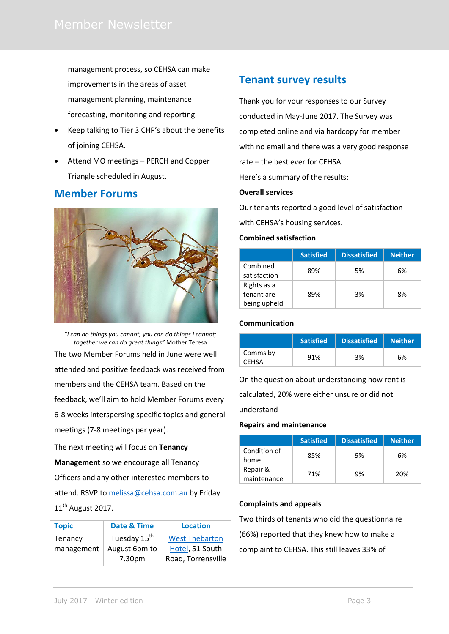management process, so CEHSA can make improvements in the areas of asset management planning, maintenance forecasting, monitoring and reporting.

- Keep talking to Tier 3 CHP's about the benefits of joining CEHSA.
- Attend MO meetings PERCH and Copper Triangle scheduled in August.

# **Member Forums**



"*I can do things you cannot, you can do things I cannot; together we can do great things"* Mother Teresa The two Member Forums held in June were well attended and positive feedback was received from members and the CEHSA team. Based on the feedback, we'll aim to hold Member Forums every 6-8 weeks interspersing specific topics and general meetings (7-8 meetings per year).

The next meeting will focus on **Tenancy Management** so we encourage all Tenancy Officers and any other interested members to attend. RSVP to [melissa@cehsa.com.au](mailto:melissa@cehsa.com.au) by Friday 11<sup>th</sup> August 2017.

| <b>Topic</b> | Date & Time              | <b>Location</b>       |
|--------------|--------------------------|-----------------------|
| Tenancy      | Tuesday 15 <sup>th</sup> | <b>West Thebarton</b> |
| management   | August 6pm to            | Hotel, 51 South       |
|              | 7.30 <sub>pm</sub>       | Road, Torrensville    |

# **Tenant survey results**

Thank you for your responses to our Survey conducted in May-June 2017. The Survey was completed online and via hardcopy for member with no email and there was a very good response rate – the best ever for CEHSA. Here's a summary of the results:

### **Overall services**

Our tenants reported a good level of satisfaction

with CEHSA's housing services.

### **Combined satisfaction**

|                                           | <b>Satisfied</b> | <b>Dissatisfied</b> | <b>Neither</b> |
|-------------------------------------------|------------------|---------------------|----------------|
| Combined<br>satisfaction                  | 89%              | 5%                  | 6%             |
| Rights as a<br>tenant are<br>being upheld | 89%              | 3%                  | 8%             |

## **Communication**

|                          | <b>Satisfied</b> | <b>Dissatisfied</b> | <b>Neither</b> |
|--------------------------|------------------|---------------------|----------------|
| Comms by<br><b>CEHSA</b> | 91%              | 3%                  | 6%             |

On the question about understanding how rent is

calculated, 20% were either unsure or did not

understand

### **Repairs and maintenance**

|                         | <b>Satisfied</b> | <b>Dissatisfied</b> | Neither. |
|-------------------------|------------------|---------------------|----------|
| Condition of<br>home    | 85%              | 9%                  | 6%       |
| Repair &<br>maintenance | 71%              | 9%                  | 20%      |

## **Complaints and appeals**

Two thirds of tenants who did the questionnaire (66%) reported that they knew how to make a complaint to CEHSA. This still leaves 33% of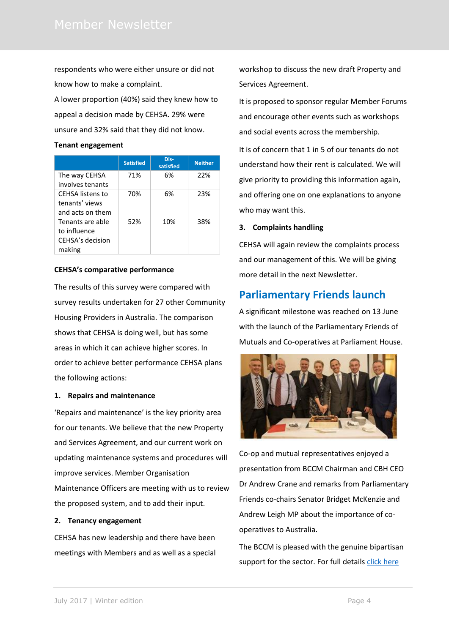respondents who were either unsure or did not know how to make a complaint.

A lower proportion (40%) said they knew how to appeal a decision made by CEHSA. 29% were unsure and 32% said that they did not know.

### **Tenant engagement**

|                                                                | <b>Satisfied</b> | Dis-<br>satisfied | <b>Neither</b> |
|----------------------------------------------------------------|------------------|-------------------|----------------|
| The way CEHSA<br>involves tenants                              | 71%              | 6%                | 22%            |
| <b>CEHSA</b> listens to<br>tenants' views<br>and acts on them  | 70%              | 6%                | 23%            |
| Tenants are able<br>to influence<br>CEHSA's decision<br>making | 52%              | 10%               | 38%            |

### **CEHSA's comparative performance**

The results of this survey were compared with survey results undertaken for 27 other Community Housing Providers in Australia. The comparison shows that CEHSA is doing well, but has some areas in which it can achieve higher scores. In order to achieve better performance CEHSA plans the following actions:

### **1. Repairs and maintenance**

'Repairs and maintenance' is the key priority area for our tenants. We believe that the new Property and Services Agreement, and our current work on updating maintenance systems and procedures will improve services. Member Organisation

Maintenance Officers are meeting with us to review the proposed system, and to add their input.

### **2. Tenancy engagement**

CEHSA has new leadership and there have been meetings with Members and as well as a special workshop to discuss the new draft Property and Services Agreement.

It is proposed to sponsor regular Member Forums and encourage other events such as workshops and social events across the membership.

It is of concern that 1 in 5 of our tenants do not understand how their rent is calculated. We will give priority to providing this information again, and offering one on one explanations to anyone who may want this.

### **3. Complaints handling**

CEHSA will again review the complaints process and our management of this. We will be giving more detail in the next Newsletter.

# **Parliamentary Friends launch**

A significant milestone was reached on 13 June with the launch of the Parliamentary Friends of Mutuals and Co-operatives at Parliament House.



Co-op and mutual representatives enjoyed a presentation from BCCM Chairman and CBH CEO Dr Andrew Crane and remarks from Parliamentary Friends co-chairs Senator Bridget McKenzie and Andrew Leigh MP about the importance of cooperatives to Australia.

The BCCM is pleased with the genuine bipartisan support for the sector. For full detail[s click here](http://bccm.coop/bipartisan-support-parliamentary-friends-mutuals-co-ops-win-regional-australia/#.WVmOcI0dClJ)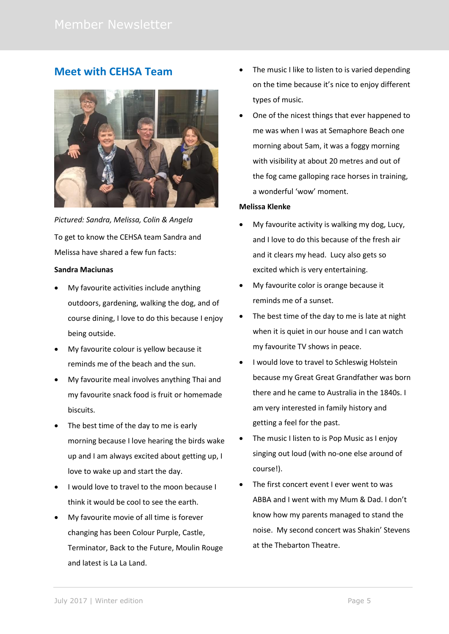# **Meet with CEHSA Team**



*Pictured: Sandra, Melissa, Colin & Angela* To get to know the CEHSA team Sandra and Melissa have shared a few fun facts:

### **Sandra Maciunas**

- My favourite activities include anything outdoors, gardening, walking the dog, and of course dining, I love to do this because I enjoy being outside.
- My favourite colour is yellow because it reminds me of the beach and the sun.
- My favourite meal involves anything Thai and my favourite snack food is fruit or homemade biscuits.
- The best time of the day to me is early morning because I love hearing the birds wake up and I am always excited about getting up, I love to wake up and start the day.
- I would love to travel to the moon because I think it would be cool to see the earth.
- My favourite movie of all time is forever changing has been Colour Purple, Castle, Terminator, Back to the Future, Moulin Rouge and latest is La La Land.
- The music I like to listen to is varied depending on the time because it's nice to enjoy different types of music.
- One of the nicest things that ever happened to me was when I was at Semaphore Beach one morning about 5am, it was a foggy morning with visibility at about 20 metres and out of the fog came galloping race horses in training, a wonderful 'wow' moment.

### **Melissa Klenke**

- My favourite activity is walking my dog, Lucy, and I love to do this because of the fresh air and it clears my head. Lucy also gets so excited which is very entertaining.
- My favourite color is orange because it reminds me of a sunset.
- The best time of the day to me is late at night when it is quiet in our house and I can watch my favourite TV shows in peace.
- I would love to travel to Schleswig Holstein because my Great Great Grandfather was born there and he came to Australia in the 1840s. I am very interested in family history and getting a feel for the past.
- The music I listen to is Pop Music as I enjoy singing out loud (with no-one else around of course!).
- The first concert event I ever went to was ABBA and I went with my Mum & Dad. I don't know how my parents managed to stand the noise. My second concert was Shakin' Stevens at the Thebarton Theatre.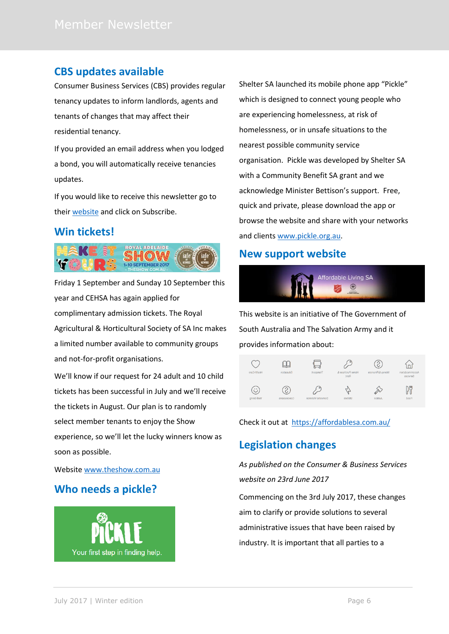# **CBS updates available**

Consumer Business Services (CBS) provides regular tenancy updates to inform landlords, agents and tenants of changes that may affect their residential tenancy.

If you provided an email address when you lodged a bond, you will automatically receive tenancies updates.

If you would like to receive this newsletter go to their [website](https://www.sa.gov.au/topics/housing/renting-and-letting/renting-privately/newsletters-for-residential-tenancies) and click on Subscribe.

# **Win tickets!**



Friday 1 September and Sunday 10 September this year and CEHSA has again applied for complimentary admission tickets. The Royal Agricultural & Horticultural Society of SA Inc makes a limited number available to community groups and not-for-profit organisations.

We'll know if our request for 24 adult and 10 child tickets has been successful in July and we'll receive the tickets in August. Our plan is to randomly select member tenants to enjoy the Show experience, so we'll let the lucky winners know as soon as possible.

Websit[e www.theshow.com.au](http://www.theshow.com.au/)

# **Who needs a pickle?**



Shelter SA launched its mobile phone app "Pickle" which is designed to connect young people who are experiencing homelessness, at risk of homelessness, or in unsafe situations to the nearest possible community service organisation. Pickle was developed by Shelter SA with a Community Benefit SA grant and we acknowledge Minister Bettison's support. Free, quick and private, please download the app or browse the website and share with your networks and clients [www.pickle.org.au.](http://www.pickle.org.au/)

# **New support website**



This website is an initiative of The Government of South Australia and The Salvation Army and it provides information about:

| Health Care      | Education   | Transport              | ۰<br>Home Purchase &<br>Rent | Money & Finances | Accommodation<br>Services |
|------------------|-------------|------------------------|------------------------------|------------------|---------------------------|
| O.<br>Well-Being | Concessions | ۰<br>Domestic Violence | -<br>د.<br>Utilities         | Justice          | C<br>Food                 |

Check it out at <https://affordablesa.com.au/>

# **Legislation changes**

*As published on the Consumer & Business Services website on 23rd June 2017* 

Commencing on the 3rd July 2017, these changes aim to clarify or provide solutions to several administrative issues that have been raised by industry. It is important that all parties to a